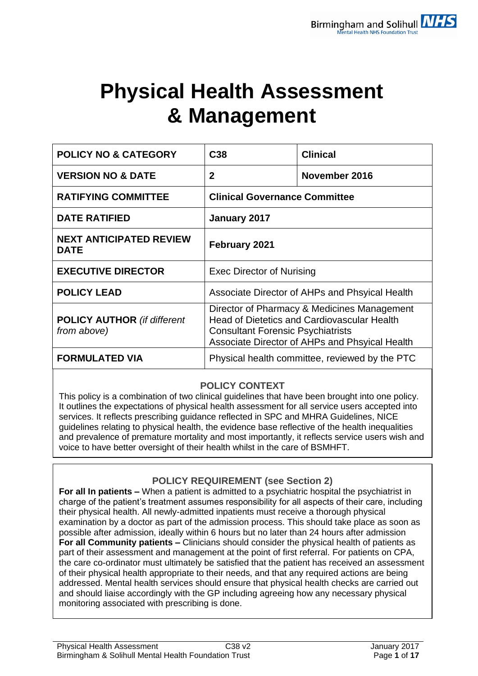# **Physical Health Assessment & Management**

| <b>POLICY NO &amp; CATEGORY</b>                   | C <sub>38</sub>                                                                                                                                                                                 | <b>Clinical</b> |  |
|---------------------------------------------------|-------------------------------------------------------------------------------------------------------------------------------------------------------------------------------------------------|-----------------|--|
| <b>VERSION NO &amp; DATE</b>                      | $\overline{2}$                                                                                                                                                                                  | November 2016   |  |
| <b>RATIFYING COMMITTEE</b>                        | <b>Clinical Governance Committee</b>                                                                                                                                                            |                 |  |
| <b>DATE RATIFIED</b>                              | January 2017                                                                                                                                                                                    |                 |  |
| <b>NEXT ANTICIPATED REVIEW</b><br><b>DATE</b>     | February 2021                                                                                                                                                                                   |                 |  |
| <b>EXECUTIVE DIRECTOR</b>                         | <b>Exec Director of Nurising</b>                                                                                                                                                                |                 |  |
| <b>POLICY LEAD</b>                                | Associate Director of AHPs and Phsyical Health                                                                                                                                                  |                 |  |
| <b>POLICY AUTHOR</b> (if different<br>from above) | Director of Pharmacy & Medicines Management<br><b>Head of Dietetics and Cardiovascular Health</b><br><b>Consultant Forensic Psychiatrists</b><br>Associate Director of AHPs and Phsyical Health |                 |  |
| <b>FORMULATED VIA</b>                             | Physical health committee, reviewed by the PTC                                                                                                                                                  |                 |  |

## **POLICY CONTEXT**

This policy is a combination of two clinical guidelines that have been brought into one policy. It outlines the expectations of physical health assessment for all service users accepted into services. It reflects prescribing guidance reflected in SPC and MHRA Guidelines, NICE guidelines relating to physical health, the evidence base reflective of the health inequalities and prevalence of premature mortality and most importantly, it reflects service users wish and voice to have better oversight of their health whilst in the care of BSMHFT.

## **POLICY REQUIREMENT (see Section 2)**

**For all In patients –** When a patient is admitted to a psychiatric hospital the psychiatrist in charge of the patient's treatment assumes responsibility for all aspects of their care, including their physical health. All newly-admitted inpatients must receive a thorough physical examination by a doctor as part of the admission process. This should take place as soon as possible after admission, ideally within 6 hours but no later than 24 hours after admission **For all Community patients –** Clinicians should consider the physical health of patients as part of their assessment and management at the point of first referral. For patients on CPA, the care co-ordinator must ultimately be satisfied that the patient has received an assessment of their physical health appropriate to their needs, and that any required actions are being addressed. Mental health services should ensure that physical health checks are carried out and should liaise accordingly with the GP including agreeing how any necessary physical monitoring associated with prescribing is done.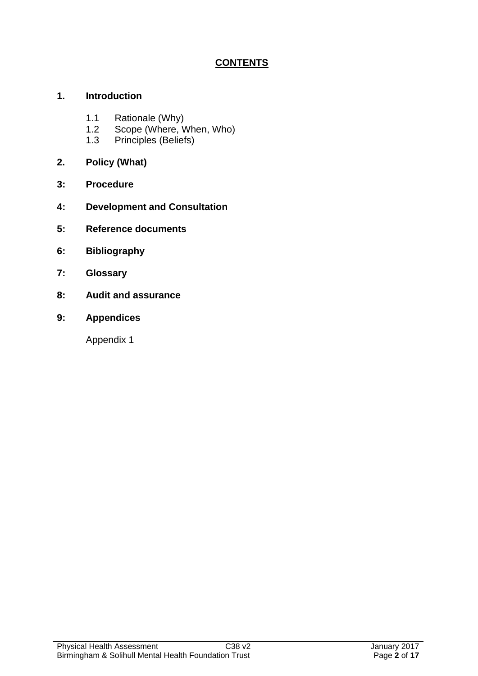# **CONTENTS**

## **1. Introduction**

- 1.1 Rationale (Why)
- 1.2 Scope (Where, When, Who)
- 1.3 Principles (Beliefs)
- **2. Policy (What)**
- **3: Procedure**
- **4: Development and Consultation**
- **5: Reference documents**
- **6: Bibliography**
- **7: Glossary**
- **8: Audit and assurance**
- **9: Appendices**

Appendix 1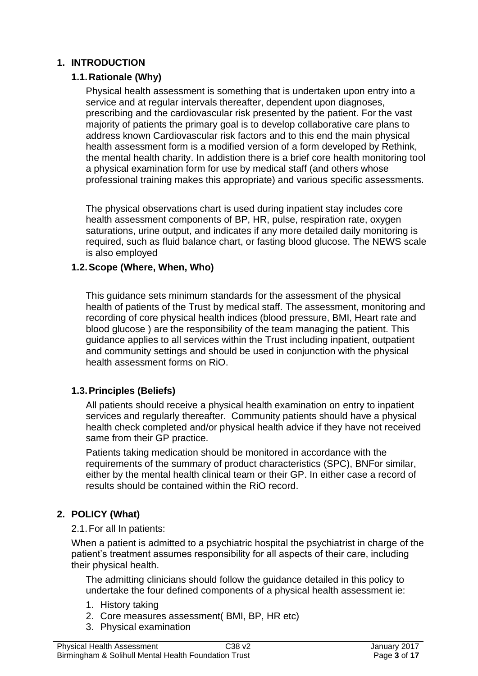## **1. INTRODUCTION**

## **1.1.Rationale (Why)**

Physical health assessment is something that is undertaken upon entry into a service and at regular intervals thereafter, dependent upon diagnoses, prescribing and the cardiovascular risk presented by the patient. For the vast majority of patients the primary goal is to develop collaborative care plans to address known Cardiovascular risk factors and to this end the main physical health assessment form is a modified version of a form developed by Rethink, the mental health charity. In addistion there is a brief core health monitoring tool a physical examination form for use by medical staff (and others whose professional training makes this appropriate) and various specific assessments.

The physical observations chart is used during inpatient stay includes core health assessment components of BP, HR, pulse, respiration rate, oxygen saturations, urine output, and indicates if any more detailed daily monitoring is required, such as fluid balance chart, or fasting blood glucose. The NEWS scale is also employed

## **1.2.Scope (Where, When, Who)**

This guidance sets minimum standards for the assessment of the physical health of patients of the Trust by medical staff. The assessment, monitoring and recording of core physical health indices (blood pressure, BMI, Heart rate and blood glucose ) are the responsibility of the team managing the patient. This guidance applies to all services within the Trust including inpatient, outpatient and community settings and should be used in conjunction with the physical health assessment forms on RiO.

## **1.3.Principles (Beliefs)**

All patients should receive a physical health examination on entry to inpatient services and regularly thereafter. Community patients should have a physical health check completed and/or physical health advice if they have not received same from their GP practice.

Patients taking medication should be monitored in accordance with the requirements of the summary of product characteristics (SPC), BNFor similar, either by the mental health clinical team or their GP. In either case a record of results should be contained within the RiO record.

## **2. POLICY (What)**

2.1.For all In patients:

When a patient is admitted to a psychiatric hospital the psychiatrist in charge of the patient's treatment assumes responsibility for all aspects of their care, including their physical health.

The admitting clinicians should follow the guidance detailed in this policy to undertake the four defined components of a physical health assessment ie:

- 1. History taking
- 2. Core measures assessment( BMI, BP, HR etc)
- 3. Physical examination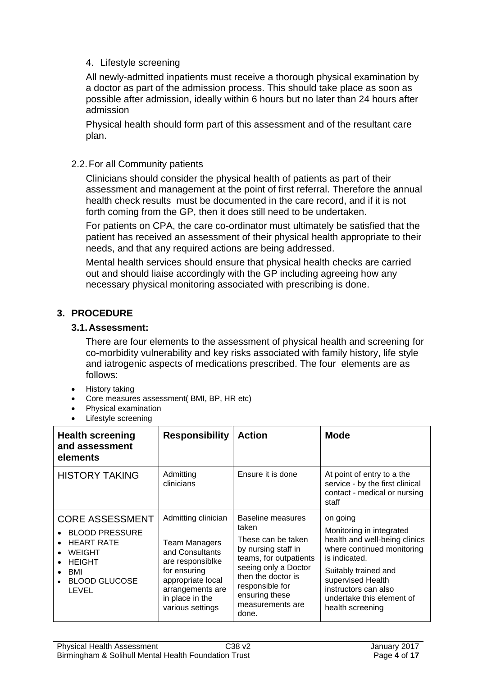## 4. Lifestyle screening

All newly-admitted inpatients must receive a thorough physical examination by a doctor as part of the admission process. This should take place as soon as possible after admission, ideally within 6 hours but no later than 24 hours after admission

Physical health should form part of this assessment and of the resultant care plan.

#### 2.2.For all Community patients

Clinicians should consider the physical health of patients as part of their assessment and management at the point of first referral. Therefore the annual health check results must be documented in the care record, and if it is not forth coming from the GP, then it does still need to be undertaken.

For patients on CPA, the care co-ordinator must ultimately be satisfied that the patient has received an assessment of their physical health appropriate to their needs, and that any required actions are being addressed.

Mental health services should ensure that physical health checks are carried out and should liaise accordingly with the GP including agreeing how any necessary physical monitoring associated with prescribing is done.

## **3. PROCEDURE**

#### **3.1.Assessment:**

There are four elements to the assessment of physical health and screening for co-morbidity vulnerability and key risks associated with family history, life style and iatrogenic aspects of medications prescribed. The four elements are as follows:

- History taking
- Core measures assessment( BMI, BP, HR etc)
- Physical examination
- Lifestyle screening

| <b>Health screening</b><br>and assessment<br>elements                                                                                          | <b>Responsibility</b>                                                                                                                                                              | <b>Action</b>                                                                                                                                                                                                            | <b>Mode</b>                                                                                                                                                                                                                                |
|------------------------------------------------------------------------------------------------------------------------------------------------|------------------------------------------------------------------------------------------------------------------------------------------------------------------------------------|--------------------------------------------------------------------------------------------------------------------------------------------------------------------------------------------------------------------------|--------------------------------------------------------------------------------------------------------------------------------------------------------------------------------------------------------------------------------------------|
| <b>HISTORY TAKING</b>                                                                                                                          | Admitting<br>clinicians                                                                                                                                                            | Ensure it is done                                                                                                                                                                                                        | At point of entry to a the<br>service - by the first clinical<br>contact - medical or nursing<br>staff                                                                                                                                     |
| <b>CORE ASSESSMENT</b><br><b>BLOOD PRESSURE</b><br><b>HEART RATE</b><br><b>WEIGHT</b><br><b>HEIGHT</b><br>BMI<br><b>BLOOD GLUCOSE</b><br>LEVEL | Admitting clinician<br><b>Team Managers</b><br>and Consultants<br>are responsiblke<br>for ensuring<br>appropriate local<br>arrangements are<br>in place in the<br>various settings | <b>Baseline measures</b><br>taken<br>These can be taken<br>by nursing staff in<br>teams, for outpatients<br>seeing only a Doctor<br>then the doctor is<br>responsible for<br>ensuring these<br>measurements are<br>done. | on going<br>Monitoring in integrated<br>health and well-being clinics<br>where continued monitoring<br>is indicated.<br>Suitably trained and<br>supervised Health<br>instructors can also<br>undertake this element of<br>health screening |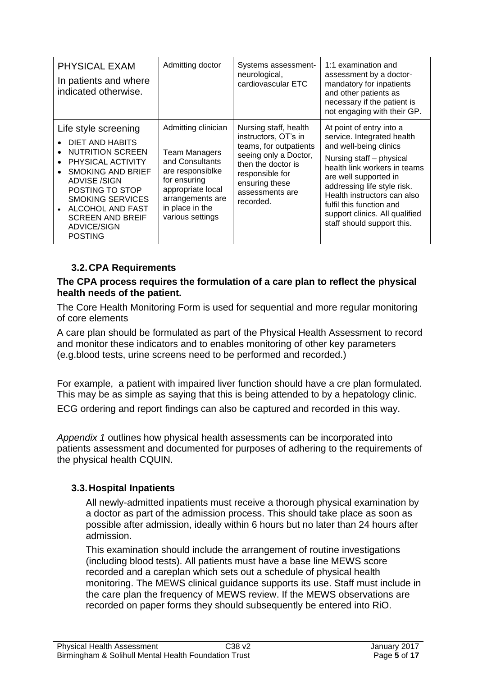| PHYSICAL EXAM<br>In patients and where<br>indicated otherwise.                                                                                                                                                                                                                  | Admitting doctor                                                                                                                                                                   | Systems assessment-<br>neurological,<br>cardiovascular ETC                                                                                                                                  | 1:1 examination and<br>assessment by a doctor-<br>mandatory for inpatients<br>and other patients as<br>necessary if the patient is<br>not engaging with their GP.                                                                                                                                                               |
|---------------------------------------------------------------------------------------------------------------------------------------------------------------------------------------------------------------------------------------------------------------------------------|------------------------------------------------------------------------------------------------------------------------------------------------------------------------------------|---------------------------------------------------------------------------------------------------------------------------------------------------------------------------------------------|---------------------------------------------------------------------------------------------------------------------------------------------------------------------------------------------------------------------------------------------------------------------------------------------------------------------------------|
| Life style screening<br>DIET AND HABITS<br><b>NUTRITION SCREEN</b><br>PHYSICAL ACTIVITY<br><b>SMOKING AND BRIEF</b><br><b>ADVISE /SIGN</b><br>POSTING TO STOP<br><b>SMOKING SERVICES</b><br><b>ALCOHOL AND FAST</b><br><b>SCREEN AND BREIF</b><br>ADVICE/SIGN<br><b>POSTING</b> | Admitting clinician<br><b>Team Managers</b><br>and Consultants<br>are responsiblke<br>for ensuring<br>appropriate local<br>arrangements are<br>in place in the<br>various settings | Nursing staff, health<br>instructors, OT's in<br>teams, for outpatients<br>seeing only a Doctor,<br>then the doctor is<br>responsible for<br>ensuring these<br>assessments are<br>recorded. | At point of entry into a<br>service. Integrated health<br>and well-being clinics<br>Nursing staff - physical<br>health link workers in teams<br>are well supported in<br>addressing life style risk.<br>Health instructors can also<br>fulfil this function and<br>support clinics. All qualified<br>staff should support this. |

# **3.2.CPA Requirements**

#### **The CPA process requires the formulation of a care plan to reflect the physical health needs of the patient.**

The Core Health Monitoring Form is used for sequential and more regular monitoring of core elements

A care plan should be formulated as part of the Physical Health Assessment to record and monitor these indicators and to enables monitoring of other key parameters (e.g.blood tests, urine screens need to be performed and recorded.)

For example, a patient with impaired liver function should have a cre plan formulated. This may be as simple as saying that this is being attended to by a hepatology clinic.

ECG ordering and report findings can also be captured and recorded in this way.

*Appendix 1* outlines how physical health assessments can be incorporated into patients assessment and documented for purposes of adhering to the requirements of the physical health CQUIN.

## **3.3.Hospital Inpatients**

All newly-admitted inpatients must receive a thorough physical examination by a doctor as part of the admission process. This should take place as soon as possible after admission, ideally within 6 hours but no later than 24 hours after admission.

This examination should include the arrangement of routine investigations (including blood tests). All patients must have a base line MEWS score recorded and a careplan which sets out a schedule of physical health monitoring. The MEWS clinical guidance supports its use. Staff must include in the care plan the frequency of MEWS review. If the MEWS observations are recorded on paper forms they should subsequently be entered into RiO.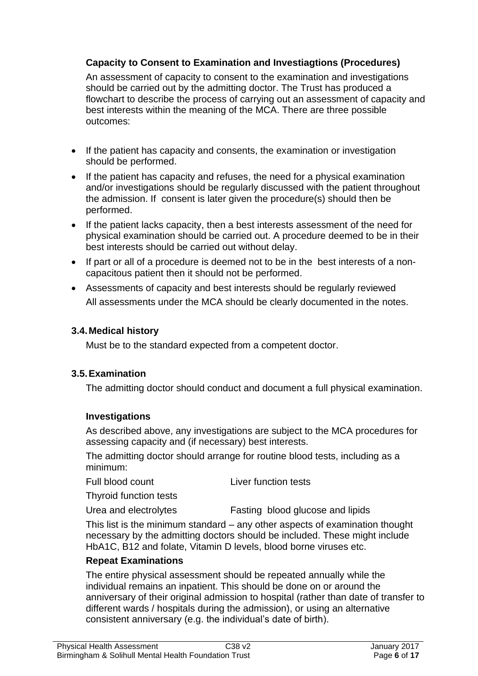## **Capacity to Consent to Examination and Investiagtions (Procedures)**

An assessment of capacity to consent to the examination and investigations should be carried out by the admitting doctor. The Trust has produced a flowchart to describe the process of carrying out an assessment of capacity and best interests within the meaning of the MCA. There are three possible outcomes:

- If the patient has capacity and consents, the examination or investigation should be performed.
- If the patient has capacity and refuses, the need for a physical examination and/or investigations should be regularly discussed with the patient throughout the admission. If consent is later given the procedure(s) should then be performed.
- If the patient lacks capacity, then a best interests assessment of the need for physical examination should be carried out. A procedure deemed to be in their best interests should be carried out without delay.
- If part or all of a procedure is deemed not to be in the best interests of a noncapacitous patient then it should not be performed.
- Assessments of capacity and best interests should be regularly reviewed All assessments under the MCA should be clearly documented in the notes.

## **3.4.Medical history**

Must be to the standard expected from a competent doctor.

## **3.5.Examination**

The admitting doctor should conduct and document a full physical examination.

## **Investigations**

As described above, any investigations are subject to the MCA procedures for assessing capacity and (if necessary) best interests.

The admitting doctor should arrange for routine blood tests, including as a minimum:

| Liver function tests |
|----------------------|
|                      |

Thyroid function tests

Urea and electrolytes Fasting blood glucose and lipids

This list is the minimum standard – any other aspects of examination thought necessary by the admitting doctors should be included. These might include HbA1C, B12 and folate, Vitamin D levels, blood borne viruses etc.

## **Repeat Examinations**

The entire physical assessment should be repeated annually while the individual remains an inpatient. This should be done on or around the anniversary of their original admission to hospital (rather than date of transfer to different wards / hospitals during the admission), or using an alternative consistent anniversary (e.g. the individual's date of birth).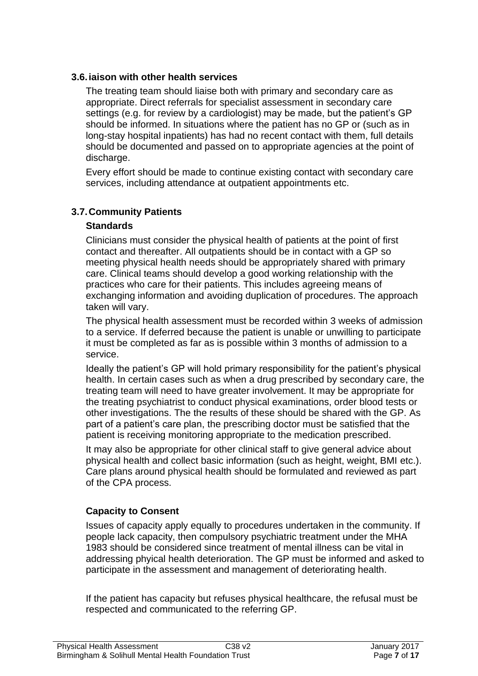## **3.6.iaison with other health services**

The treating team should liaise both with primary and secondary care as appropriate. Direct referrals for specialist assessment in secondary care settings (e.g. for review by a cardiologist) may be made, but the patient's GP should be informed. In situations where the patient has no GP or (such as in long-stay hospital inpatients) has had no recent contact with them, full details should be documented and passed on to appropriate agencies at the point of discharge.

Every effort should be made to continue existing contact with secondary care services, including attendance at outpatient appointments etc.

## **3.7.Community Patients**

## **Standards**

Clinicians must consider the physical health of patients at the point of first contact and thereafter. All outpatients should be in contact with a GP so meeting physical health needs should be appropriately shared with primary care. Clinical teams should develop a good working relationship with the practices who care for their patients. This includes agreeing means of exchanging information and avoiding duplication of procedures. The approach taken will vary.

The physical health assessment must be recorded within 3 weeks of admission to a service. If deferred because the patient is unable or unwilling to participate it must be completed as far as is possible within 3 months of admission to a service.

Ideally the patient's GP will hold primary responsibility for the patient's physical health. In certain cases such as when a drug prescribed by secondary care, the treating team will need to have greater involvement. It may be appropriate for the treating psychiatrist to conduct physical examinations, order blood tests or other investigations. The the results of these should be shared with the GP. As part of a patient's care plan, the prescribing doctor must be satisfied that the patient is receiving monitoring appropriate to the medication prescribed.

It may also be appropriate for other clinical staff to give general advice about physical health and collect basic information (such as height, weight, BMI etc.). Care plans around physical health should be formulated and reviewed as part of the CPA process.

## **Capacity to Consent**

Issues of capacity apply equally to procedures undertaken in the community. If people lack capacity, then compulsory psychiatric treatment under the MHA 1983 should be considered since treatment of mental illness can be vital in addressing phyical health deterioration. The GP must be informed and asked to participate in the assessment and management of deteriorating health.

If the patient has capacity but refuses physical healthcare, the refusal must be respected and communicated to the referring GP.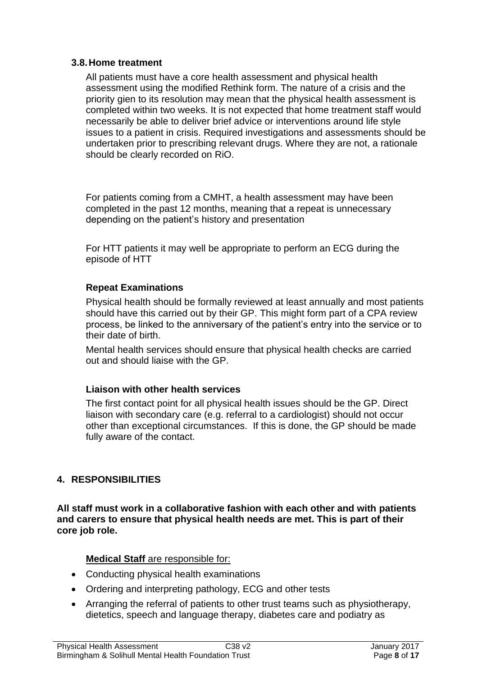## **3.8.Home treatment**

All patients must have a core health assessment and physical health assessment using the modified Rethink form. The nature of a crisis and the priority gien to its resolution may mean that the physical health assessment is completed within two weeks. It is not expected that home treatment staff would necessarily be able to deliver brief advice or interventions around life style issues to a patient in crisis. Required investigations and assessments should be undertaken prior to prescribing relevant drugs. Where they are not, a rationale should be clearly recorded on RiO.

For patients coming from a CMHT, a health assessment may have been completed in the past 12 months, meaning that a repeat is unnecessary depending on the patient's history and presentation

For HTT patients it may well be appropriate to perform an ECG during the episode of HTT

## **Repeat Examinations**

Physical health should be formally reviewed at least annually and most patients should have this carried out by their GP. This might form part of a CPA review process, be linked to the anniversary of the patient's entry into the service or to their date of birth.

Mental health services should ensure that physical health checks are carried out and should liaise with the GP.

## **Liaison with other health services**

The first contact point for all physical health issues should be the GP. Direct liaison with secondary care (e.g. referral to a cardiologist) should not occur other than exceptional circumstances. If this is done, the GP should be made fully aware of the contact.

## **4. RESPONSIBILITIES**

**All staff must work in a collaborative fashion with each other and with patients and carers to ensure that physical health needs are met. This is part of their core job role.**

## **Medical Staff** are responsible for:

- Conducting physical health examinations
- Ordering and interpreting pathology, ECG and other tests
- Arranging the referral of patients to other trust teams such as physiotherapy, dietetics, speech and language therapy, diabetes care and podiatry as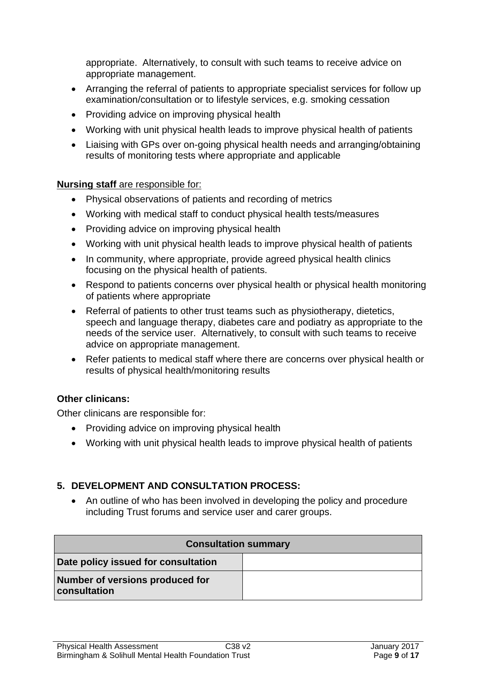appropriate. Alternatively, to consult with such teams to receive advice on appropriate management.

- Arranging the referral of patients to appropriate specialist services for follow up examination/consultation or to lifestyle services, e.g. smoking cessation
- Providing advice on improving physical health
- Working with unit physical health leads to improve physical health of patients
- Liaising with GPs over on-going physical health needs and arranging/obtaining results of monitoring tests where appropriate and applicable

#### **Nursing staff** are responsible for:

- Physical observations of patients and recording of metrics
- Working with medical staff to conduct physical health tests/measures
- Providing advice on improving physical health
- Working with unit physical health leads to improve physical health of patients
- In community, where appropriate, provide agreed physical health clinics focusing on the physical health of patients.
- Respond to patients concerns over physical health or physical health monitoring of patients where appropriate
- Referral of patients to other trust teams such as physiotherapy, dietetics, speech and language therapy, diabetes care and podiatry as appropriate to the needs of the service user. Alternatively, to consult with such teams to receive advice on appropriate management.
- Refer patients to medical staff where there are concerns over physical health or results of physical health/monitoring results

## **Other clinicans:**

Other clinicans are responsible for:

- Providing advice on improving physical health
- Working with unit physical health leads to improve physical health of patients

## **5. DEVELOPMENT AND CONSULTATION PROCESS:**

• An outline of who has been involved in developing the policy and procedure including Trust forums and service user and carer groups.

| <b>Consultation summary</b>                     |  |  |  |  |
|-------------------------------------------------|--|--|--|--|
| Date policy issued for consultation             |  |  |  |  |
| Number of versions produced for<br>consultation |  |  |  |  |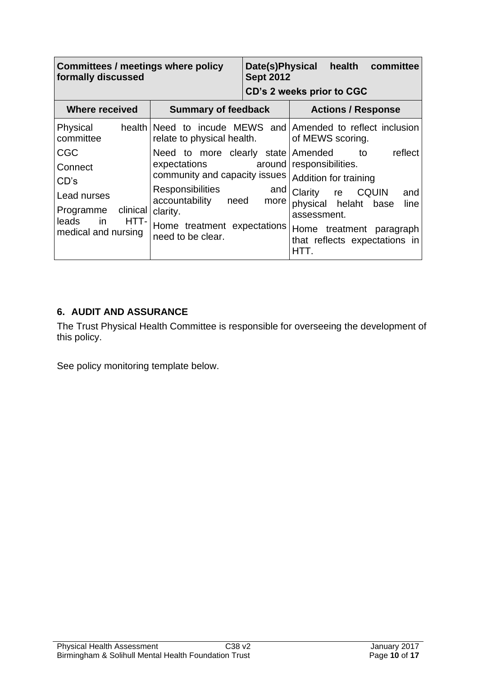| <b>Committees / meetings where policy</b><br>formally discussed                                                  |                                                                                                                                                                                                          | <b>Sept 2012</b> | Date(s)Physical health<br>committee<br>CD's 2 weeks prior to CGC                                                                                                                                        |
|------------------------------------------------------------------------------------------------------------------|----------------------------------------------------------------------------------------------------------------------------------------------------------------------------------------------------------|------------------|---------------------------------------------------------------------------------------------------------------------------------------------------------------------------------------------------------|
| <b>Where received</b><br><b>Summary of feedback</b>                                                              |                                                                                                                                                                                                          |                  | <b>Actions / Response</b>                                                                                                                                                                               |
| Physical<br>committee                                                                                            | relate to physical health.                                                                                                                                                                               |                  | health Need to incude MEWS and Amended to reflect inclusion<br>of MEWS scoring.                                                                                                                         |
| <b>CGC</b><br>Connect<br>CD's<br>Lead nurses<br>Programme clinical<br>in<br>HTT-<br>leads<br>medical and nursing | Need to more clearly state Amended to<br>expectations around<br>community and capacity issues<br>Responsibilities<br>accountability need<br>clarity.<br>Home treatment expectations<br>need to be clear. | and<br>more      | reflect<br>responsibilities.<br>Addition for training<br>Clarity<br>re CQUIN<br>and<br>physical helaht base<br>line<br>assessment.<br>Home treatment paragraph<br>that reflects expectations in<br>HTT. |

## **6. AUDIT AND ASSURANCE**

The Trust Physical Health Committee is responsible for overseeing the development of this policy.

See policy monitoring template below.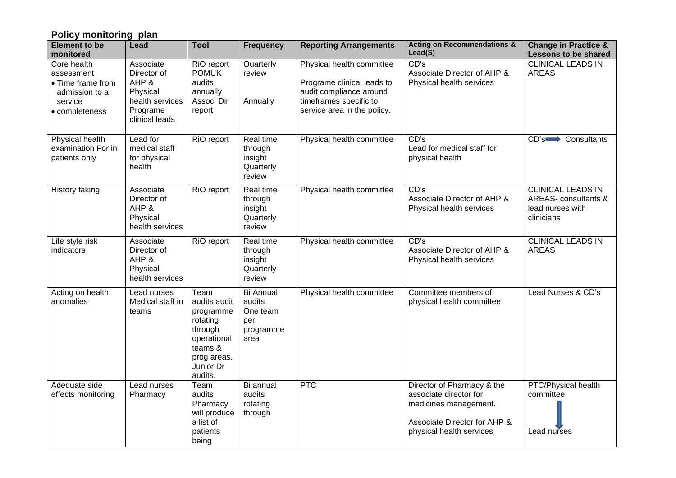| Policy monitoring plan                                                                        |                                                                                                |                                                                                                                           |                                                                    |                                                                                                                                             |                                                                                                                                           |                                                                                    |
|-----------------------------------------------------------------------------------------------|------------------------------------------------------------------------------------------------|---------------------------------------------------------------------------------------------------------------------------|--------------------------------------------------------------------|---------------------------------------------------------------------------------------------------------------------------------------------|-------------------------------------------------------------------------------------------------------------------------------------------|------------------------------------------------------------------------------------|
| <b>Element to be</b><br>monitored                                                             | Lead                                                                                           | <b>Tool</b>                                                                                                               | <b>Frequency</b>                                                   | <b>Reporting Arrangements</b>                                                                                                               | <b>Acting on Recommendations &amp;</b><br>Lead(S)                                                                                         | <b>Change in Practice &amp;</b><br><b>Lessons to be shared</b>                     |
| Core health<br>assessment<br>• Time frame from<br>admission to a<br>service<br>• completeness | Associate<br>Director of<br>AHP &<br>Physical<br>health services<br>Programe<br>clinical leads | RiO report<br><b>POMUK</b><br>audits<br>annually<br>Assoc. Dir<br>report                                                  | Quarterly<br>review<br>Annually                                    | Physical health committee<br>Programe clinical leads to<br>audit compliance around<br>timeframes specific to<br>service area in the policy. | CD's<br>Associate Director of AHP &<br>Physical health services                                                                           | <b>CLINICAL LEADS IN</b><br><b>AREAS</b>                                           |
| <b>Physical health</b><br>examination For in<br>patients only                                 | Lead for<br>medical staff<br>for physical<br>health                                            | RiO report                                                                                                                | Real time<br>through<br>insight<br>Quarterly<br>review             | Physical health committee                                                                                                                   | CD's<br>Lead for medical staff for<br>physical health                                                                                     | CD's <b>consultants</b>                                                            |
| History taking                                                                                | Associate<br>Director of<br>AHP &<br>Physical<br>health services                               | RiO report                                                                                                                | Real time<br>through<br>insight<br>Quarterly<br>review             | Physical health committee                                                                                                                   | CD's<br>Associate Director of AHP &<br>Physical health services                                                                           | <b>CLINICAL LEADS IN</b><br>AREAS- consultants &<br>lead nurses with<br>clinicians |
| Life style risk<br>indicators                                                                 | Associate<br>Director of<br>AHP &<br>Physical<br>health services                               | RiO report                                                                                                                | Real time<br>through<br>insight<br>Quarterly<br>review             | Physical health committee                                                                                                                   | CD's<br>Associate Director of AHP &<br>Physical health services                                                                           | <b>CLINICAL LEADS IN</b><br><b>AREAS</b>                                           |
| Acting on health<br>anomalies                                                                 | Lead nurses<br>Medical staff in<br>teams                                                       | Team<br>audits audit<br>programme<br>rotating<br>through<br>operational<br>teams &<br>prog areas.<br>Junior Dr<br>audits. | <b>Bi Annual</b><br>audits<br>One team<br>per<br>programme<br>area | Physical health committee                                                                                                                   | Committee members of<br>physical health committee                                                                                         | Lead Nurses & CD's                                                                 |
| Adequate side<br>effects monitoring                                                           | Lead nurses<br>Pharmacy                                                                        | Team<br>audits<br>Pharmacy<br>will produce<br>a list of<br>patients<br>being                                              | Bi annual<br>audits<br>rotating<br>through                         | <b>PTC</b>                                                                                                                                  | Director of Pharmacy & the<br>associate director for<br>medicines management.<br>Associate Director for AHP &<br>physical health services | PTC/Physical health<br>committee<br>Lead nurses                                    |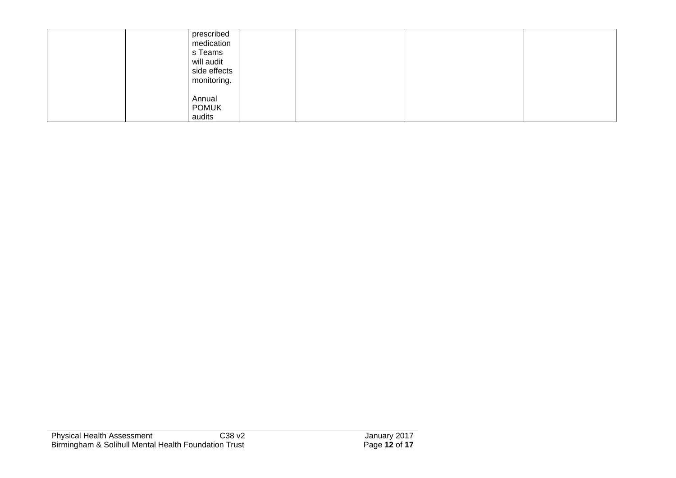| prescribed<br>medication<br>s Teams<br>will audit<br>side effects<br>monitoring. |  |
|----------------------------------------------------------------------------------|--|
| Annual<br><b>POMUK</b><br>audits                                                 |  |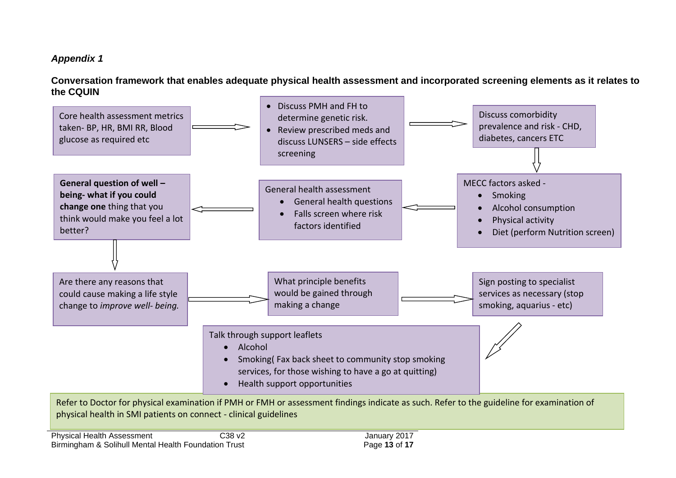# *Appendix 1*

**Conversation framework that enables adequate physical health assessment and incorporated screening elements as it relates to the CQUIN**

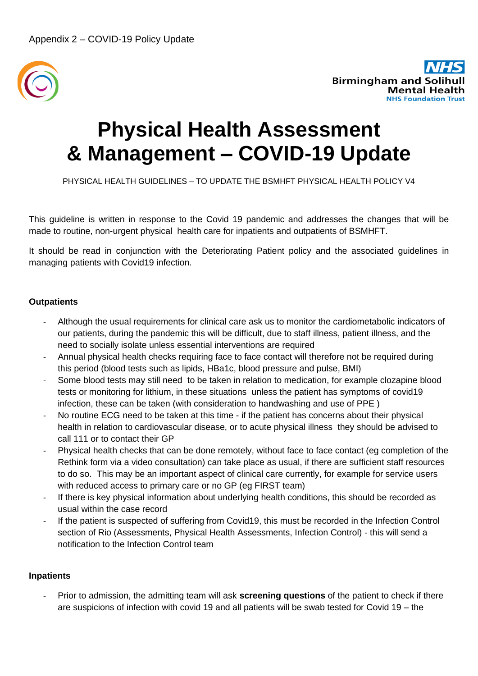



# **Physical Health Assessment & Management – COVID-19 Update**

PHYSICAL HEALTH GUIDELINES – TO UPDATE THE BSMHFT PHYSICAL HEALTH POLICY V4

This guideline is written in response to the Covid 19 pandemic and addresses the changes that will be made to routine, non-urgent physical health care for inpatients and outpatients of BSMHFT.

It should be read in conjunction with the Deteriorating Patient policy and the associated guidelines in managing patients with Covid19 infection.

#### **Outpatients**

- Although the usual requirements for clinical care ask us to monitor the cardiometabolic indicators of our patients, during the pandemic this will be difficult, due to staff illness, patient illness, and the need to socially isolate unless essential interventions are required
- Annual physical health checks requiring face to face contact will therefore not be required during this period (blood tests such as lipids, HBa1c, blood pressure and pulse, BMI)
- Some blood tests may still need to be taken in relation to medication, for example clozapine blood tests or monitoring for lithium, in these situations unless the patient has symptoms of covid19 infection, these can be taken (with consideration to handwashing and use of PPE )
- No routine ECG need to be taken at this time if the patient has concerns about their physical health in relation to cardiovascular disease, or to acute physical illness they should be advised to call 111 or to contact their GP
- Physical health checks that can be done remotely, without face to face contact (eg completion of the Rethink form via a video consultation) can take place as usual, if there are sufficient staff resources to do so. This may be an important aspect of clinical care currently, for example for service users with reduced access to primary care or no GP (eg FIRST team)
- If there is key physical information about underlying health conditions, this should be recorded as usual within the case record
- If the patient is suspected of suffering from Covid19, this must be recorded in the Infection Control section of Rio (Assessments, Physical Health Assessments, Infection Control) - this will send a notification to the Infection Control team

#### **Inpatients**

- Prior to admission, the admitting team will ask **screening questions** of the patient to check if there are suspicions of infection with covid 19 and all patients will be swab tested for Covid 19 – the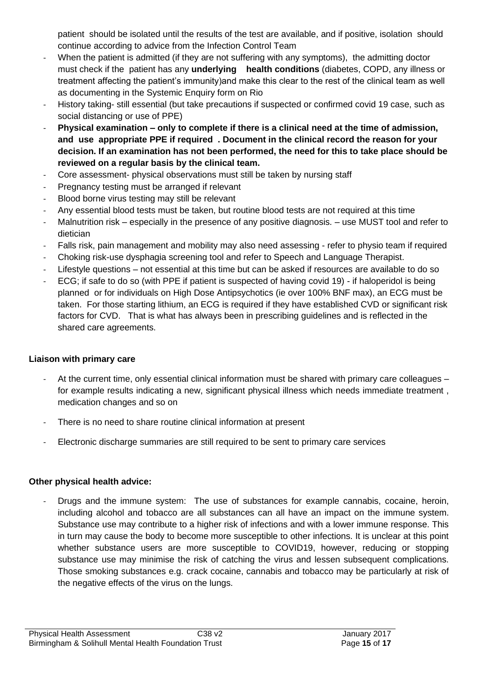patient should be isolated until the results of the test are available, and if positive, isolation should continue according to advice from the Infection Control Team

- When the patient is admitted (if they are not suffering with any symptoms), the admitting doctor must check if the patient has any **underlying health conditions** (diabetes, COPD, any illness or treatment affecting the patient's immunity)and make this clear to the rest of the clinical team as well as documenting in the Systemic Enquiry form on Rio
- History taking- still essential (but take precautions if suspected or confirmed covid 19 case, such as social distancing or use of PPE)
- **Physical examination – only to complete if there is a clinical need at the time of admission, and use appropriate PPE if required . Document in the clinical record the reason for your decision. If an examination has not been performed, the need for this to take place should be reviewed on a regular basis by the clinical team.**
- Core assessment- physical observations must still be taken by nursing staff
- Pregnancy testing must be arranged if relevant
- Blood borne virus testing may still be relevant
- Any essential blood tests must be taken, but routine blood tests are not required at this time
- Malnutrition risk especially in the presence of any positive diagnosis. use MUST tool and refer to dietician
- Falls risk, pain management and mobility may also need assessing refer to physio team if required
- Choking risk-use dysphagia screening tool and refer to Speech and Language Therapist.
- Lifestyle questions not essential at this time but can be asked if resources are available to do so
- ECG; if safe to do so (with PPE if patient is suspected of having covid 19) if haloperidol is being planned or for individuals on High Dose Antipsychotics (ie over 100% BNF max), an ECG must be taken. For those starting lithium, an ECG is required if they have established CVD or significant risk factors for CVD. That is what has always been in prescribing guidelines and is reflected in the shared care agreements.

#### **Liaison with primary care**

- At the current time, only essential clinical information must be shared with primary care colleagues for example results indicating a new, significant physical illness which needs immediate treatment , medication changes and so on
- There is no need to share routine clinical information at present
- Electronic discharge summaries are still required to be sent to primary care services

#### **Other physical health advice:**

- Drugs and the immune system: The use of substances for example cannabis, cocaine, heroin, including alcohol and tobacco are all substances can all have an impact on the immune system. Substance use may contribute to a higher risk of infections and with a lower immune response. This in turn may cause the body to become more susceptible to other infections. It is unclear at this point whether substance users are more susceptible to COVID19, however, reducing or stopping substance use may minimise the risk of catching the virus and lessen subsequent complications. Those smoking substances e.g. crack cocaine, cannabis and tobacco may be particularly at risk of the negative effects of the virus on the lungs.